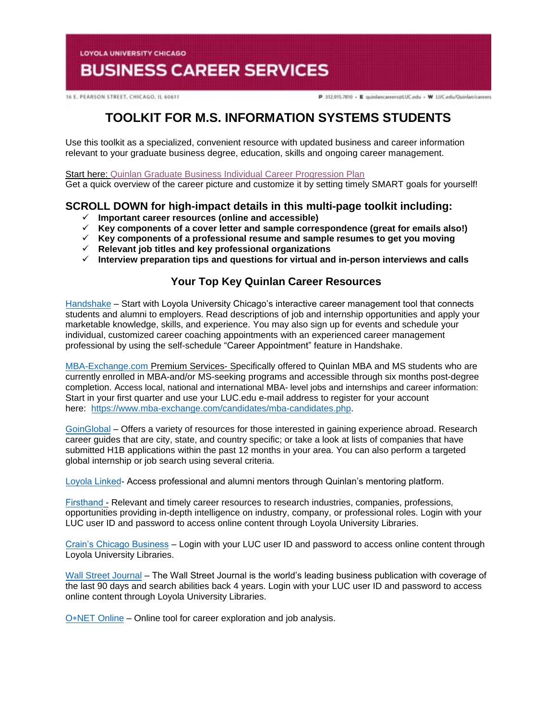**LOYOLA UNIVERSITY CHICAGO** 

# **BUSINESS CAREER SERVICES**

16 E. PEARSON STREET, CHICAGO, IL 60611

P 312.915.7810 - E quinlancareers@LUC.edu - W LUC.edu/Quinlan/careers

## **TOOLKIT FOR M.S. INFORMATION SYSTEMS STUDENTS**

Use this toolkit as a specialized, convenient resource with updated business and career information relevant to your graduate business degree, education, skills and ongoing career management.

Start here: [Quinlan Graduate Business Individual Career Progression Plan](https://www.luc.edu/media/lucedu/quinlan-businesscareerservices/pdfs/2020%20Quinlan%20Graduate%20Business%20Individual%20Career%20Progression%20Plan.pdf)  Get a quick overview of the career picture and customize it by setting timely SMART goals for yourself!

## **SCROLL DOWN for high-impact details in this multi-page toolkit including:**

- **Important career resources (online and accessible)**
- **Key components of a cover letter and sample correspondence (great for emails also!)**
- **Key components of a professional resume and sample resumes to get you moving**
- **Relevant job titles and key professional organizations**
- **Interview preparation tips and questions for virtual and in-person interviews and calls**

## **Your Top Key Quinlan Career Resources**

[Handshake](https://luc.joinhandshake.com/login) – Start with Loyola University Chicago's interactive career management tool that connects students and alumni to employers. Read descriptions of job and internship opportunities and apply your marketable knowledge, skills, and experience. You may also sign up for events and schedule your individual, customized career coaching appointments with an experienced career management professional by using the self-schedule "Career Appointment" feature in Handshake.

[MBA-Exchange.com P](https://www.luc.edu/quinlan/careers/studentservices/job-search/)remium Services- Specifically offered to Quinlan MBA and MS students who are currently enrolled in MBA-and/or MS-seeking programs and accessible through six months post-degree completion. Access local, national and international MBA- level jobs and internships and career information: Start in your first quarter and use your LUC.edu e-mail address to register for your account here: [https://www.mba-exchange.com/candidates/mba-candidates.php.](http://email.mail.joinhandshake.com/c/eJxFkN1uhCAQhZ9G75YgIOIFFzaNL9AHMAjTlV1-jGDs4xfttk3mZr6Tc2ZyjBRCz6K2kmCCMSe84W3bYNSgQQyUF4C7caBvTVcx7JV16BFtWFQwaVFPQDr6epGfDCgHMxPWEo2V6ATue2hAi45RwVnt5JLzmio6VGQscxwH8rO6wZcuWfcrp2Bdcq1RGVJZTv0foHVZKzq6uFX0nVWE79lPKe6bhgK8Smk634PtJXkwdvdFghO_oI4hQ8iFcix69hujlV-VvYfC92CnrLY7ZDDTZU31Jh8JnEulAbdrBGavs-wZvn3oJUZX_7UxXW9crska-XPjGw06c3I?lor=5&utm_source=mass_mailer&utm_medium=email&utm_content=608944&utm_campaign=uni_targeted_emails) 

[GoinGlobal](https://online.goinglobal.com/) – Offers a variety of resources for those interested in gaining experience abroad. Research career guides that are city, state, and country specific; or take a look at lists of companies that have submitted H1B applications within the past 12 months in your area. You can also perform a targeted global internship or job search using several criteria.

[Loyola](https://mentors.luc.edu/) Linked- Access professional and alumni mentors through Quinlan's mentoring platform.

[Firsthand](https://login.flagship.luc.edu/login?qurl=https%3a%2f%2faccess.vault.com%2fcareer-insider-login.aspx%3faid%3d256866) - Relevant and timely career resources to research industries, companies, professions, opportunities providing in-depth intelligence on industry, company, or professional roles. Login with your LUC user ID and password to access online content through Loyola University Libraries.

[Crain's Chicago Business](https://loyola-primo.hosted.exlibrisgroup.com/primo-explore/fulldisplay?docid=01LUC_ALMA2180212020002506&vid=01LUC&search_scope=Library_Collections&tab=jsearch_slot&lang=en_US&context=L) – Login with your LUC user ID and password to access online content through Loyola University Libraries.

[Wall Street Journal](http://libraries.luc.edu/databases/database/858) – The Wall Street Journal is the world's leading business publication with coverage of the last 90 days and search abilities back 4 years. Login with your LUC user ID and password to access online content through Loyola University Libraries.

O∗[NET Online](https://www.onetonline.org/) – Online tool for career exploration and job analysis.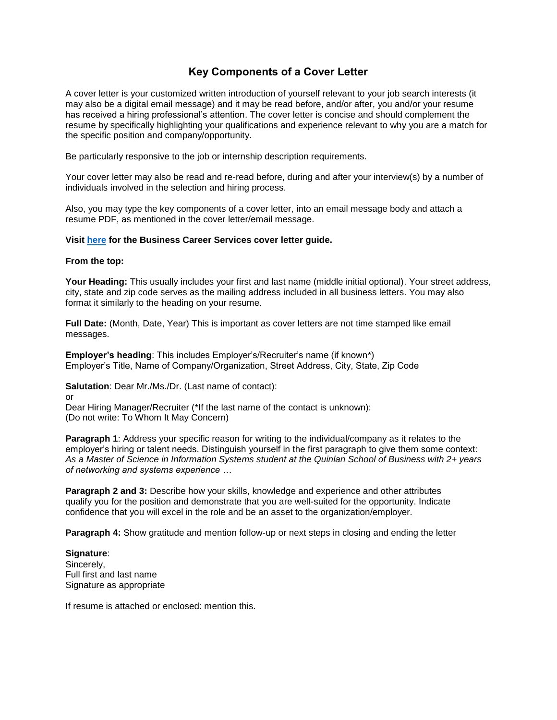## **Key Components of a Cover Letter**

A cover letter is your customized written introduction of yourself relevant to your job search interests (it may also be a digital email message) and it may be read before, and/or after, you and/or your resume has received a hiring professional's attention. The cover letter is concise and should complement the resume by specifically highlighting your qualifications and experience relevant to why you are a match for the specific position and company/opportunity.

Be particularly responsive to the job or internship description requirements.

Your cover letter may also be read and re-read before, during and after your interview(s) by a number of individuals involved in the selection and hiring process.

Also, you may type the key components of a cover letter, into an email message body and attach a resume PDF, as mentioned in the cover letter/email message.

#### **Visit [here](https://www.luc.edu/media/lucedu/quinlan-businesscareerservices/Cover%20Letter%20Guidelines.pdf) for the Business Career Services cover letter guide.**

#### **From the top:**

**Your Heading:** This usually includes your first and last name (middle initial optional). Your street address, city, state and zip code serves as the mailing address included in all business letters. You may also format it similarly to the heading on your resume.

**Full Date:** (Month, Date, Year) This is important as cover letters are not time stamped like email messages.

**Employer's heading**: This includes Employer's/Recruiter's name (if known\*) Employer's Title, Name of Company/Organization, Street Address, City, State, Zip Code

**Salutation**: Dear Mr./Ms./Dr. (Last name of contact):

or

Dear Hiring Manager/Recruiter (\*If the last name of the contact is unknown): (Do not write: To Whom It May Concern)

**Paragraph 1:** Address your specific reason for writing to the individual/company as it relates to the employer's hiring or talent needs. Distinguish yourself in the first paragraph to give them some context: *As a Master of Science in Information Systems student at the Quinlan School of Business with 2+ years of networking and systems experience …* 

**Paragraph 2 and 3:** Describe how your skills, knowledge and experience and other attributes qualify you for the position and demonstrate that you are well-suited for the opportunity. Indicate confidence that you will excel in the role and be an asset to the organization/employer.

**Paragraph 4:** Show gratitude and mention follow-up or next steps in closing and ending the letter

**Signature**: Sincerely, Full first and last name Signature as appropriate

If resume is attached or enclosed: mention this.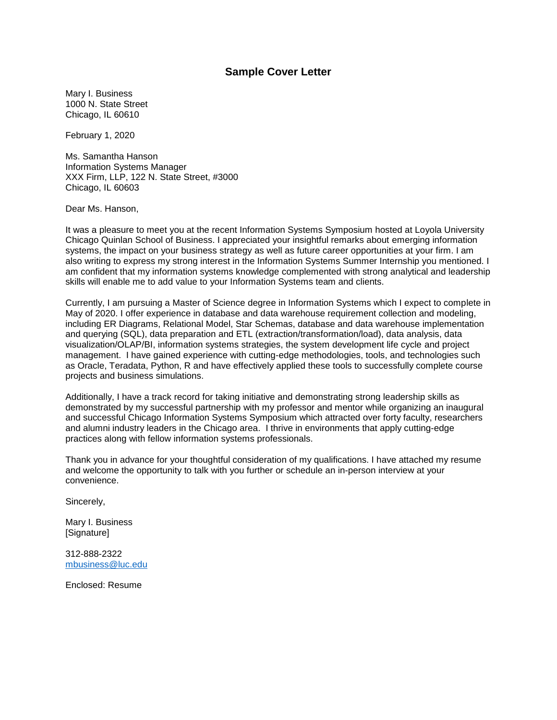#### **Sample Cover Letter**

Mary I. Business 1000 N. State Street Chicago, IL 60610

February 1, 2020

Ms. Samantha Hanson Information Systems Manager XXX Firm, LLP, 122 N. State Street, #3000 Chicago, IL 60603

Dear Ms. Hanson,

It was a pleasure to meet you at the recent Information Systems Symposium hosted at Loyola University Chicago Quinlan School of Business. I appreciated your insightful remarks about emerging information systems, the impact on your business strategy as well as future career opportunities at your firm. I am also writing to express my strong interest in the Information Systems Summer Internship you mentioned. I am confident that my information systems knowledge complemented with strong analytical and leadership skills will enable me to add value to your Information Systems team and clients.

Currently, I am pursuing a Master of Science degree in Information Systems which I expect to complete in May of 2020. I offer experience in database and data warehouse requirement collection and modeling, including ER Diagrams, Relational Model, Star Schemas, database and data warehouse implementation and querying (SQL), data preparation and ETL (extraction/transformation/load), data analysis, data visualization/OLAP/BI, information systems strategies, the system development life cycle and project management. I have gained experience with cutting-edge methodologies, tools, and technologies such as Oracle, Teradata, Python, R and have effectively applied these tools to successfully complete course projects and business simulations.

Additionally, I have a track record for taking initiative and demonstrating strong leadership skills as demonstrated by my successful partnership with my professor and mentor while organizing an inaugural and successful Chicago Information Systems Symposium which attracted over forty faculty, researchers and alumni industry leaders in the Chicago area. I thrive in environments that apply cutting-edge practices along with fellow information systems professionals.

Thank you in advance for your thoughtful consideration of my qualifications. I have attached my resume and welcome the opportunity to talk with you further or schedule an in-person interview at your convenience.

Sincerely,

Mary I. Business [Signature]

312-888-2322 [mbusiness@luc.edu](mailto:mbusiness@luc.edu)

Enclosed: Resume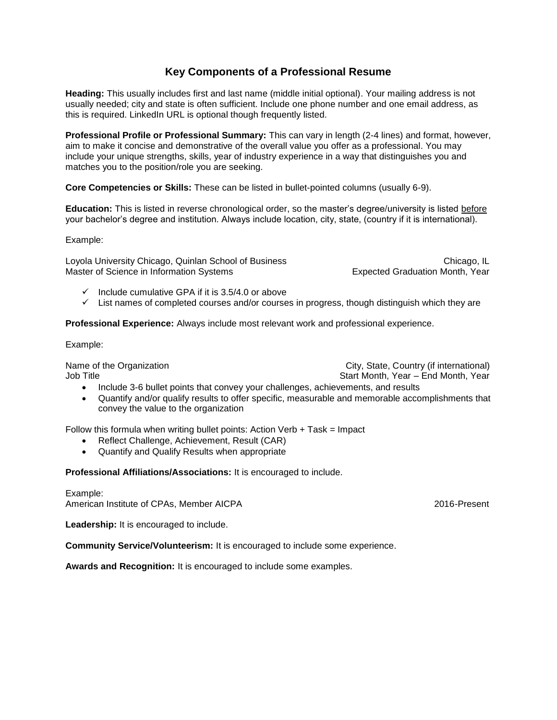## **Key Components of a Professional Resume**

**Heading:** This usually includes first and last name (middle initial optional). Your mailing address is not usually needed; city and state is often sufficient. Include one phone number and one email address, as this is required. LinkedIn URL is optional though frequently listed.

**Professional Profile or Professional Summary:** This can vary in length (2-4 lines) and format, however, aim to make it concise and demonstrative of the overall value you offer as a professional. You may include your unique strengths, skills, year of industry experience in a way that distinguishes you and matches you to the position/role you are seeking.

**Core Competencies or Skills:** These can be listed in bullet-pointed columns (usually 6-9).

**Education:** This is listed in reverse chronological order, so the master's degree/university is listed before your bachelor's degree and institution. Always include location, city, state, (country if it is international).

Example:

Loyola University Chicago, Quinlan School of Business Chicago, IL Chicago, IL Master of Science in Information Systems **EXPERT EXPECTED EXPECTED Month**, Year

- $\checkmark$  Include cumulative GPA if it is 3.5/4.0 or above
- $\checkmark$  List names of completed courses and/or courses in progress, though distinguish which they are

**Professional Experience:** Always include most relevant work and professional experience.

Example:

Name of the Organization **City, State, Country (if international)** Job Title Start Month, Year – End Month, Year – End Month, Year – End Month, Year

- Include 3-6 bullet points that convey your challenges, achievements, and results
- Quantify and/or qualify results to offer specific, measurable and memorable accomplishments that convey the value to the organization

Follow this formula when writing bullet points: Action Verb  $+$  Task = Impact

- Reflect Challenge, Achievement, Result (CAR)
- Quantify and Qualify Results when appropriate

**Professional Affiliations/Associations:** It is encouraged to include.

Example: American Institute of CPAs, Member AICPA 2016-Present

Leadership: It is encouraged to include.

**Community Service/Volunteerism:** It is encouraged to include some experience.

**Awards and Recognition:** It is encouraged to include some examples.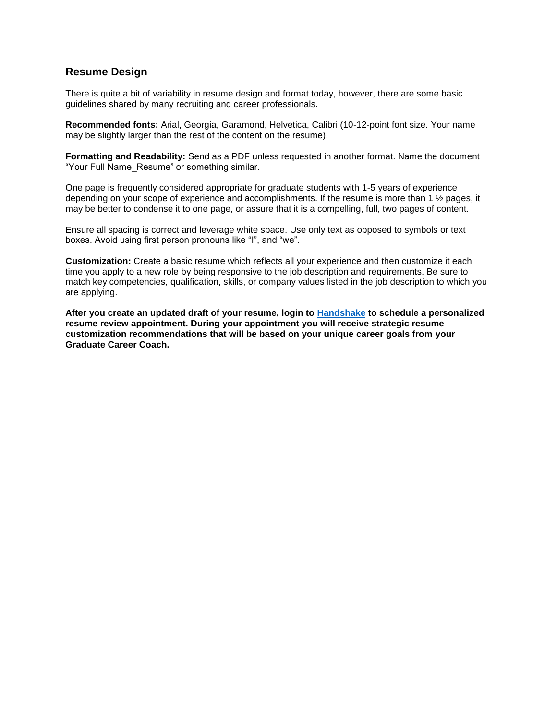## **Resume Design**

There is quite a bit of variability in resume design and format today, however, there are some basic guidelines shared by many recruiting and career professionals.

**Recommended fonts:** Arial, Georgia, Garamond, Helvetica, Calibri (10-12-point font size. Your name may be slightly larger than the rest of the content on the resume).

**Formatting and Readability:** Send as a PDF unless requested in another format. Name the document "Your Full Name\_Resume" or something similar.

One page is frequently considered appropriate for graduate students with 1-5 years of experience depending on your scope of experience and accomplishments. If the resume is more than 1 ½ pages, it may be better to condense it to one page, or assure that it is a compelling, full, two pages of content.

Ensure all spacing is correct and leverage white space. Use only text as opposed to symbols or text boxes. Avoid using first person pronouns like "I", and "we".

**Customization:** Create a basic resume which reflects all your experience and then customize it each time you apply to a new role by being responsive to the job description and requirements. Be sure to match key competencies, qualification, skills, or company values listed in the job description to which you are applying.

**After you create an updated draft of your resume, login to [Handshake](https://luc.joinhandshake.com/) to schedule a personalized resume review appointment. During your appointment you will receive strategic resume customization recommendations that will be based on your unique career goals from your Graduate Career Coach.**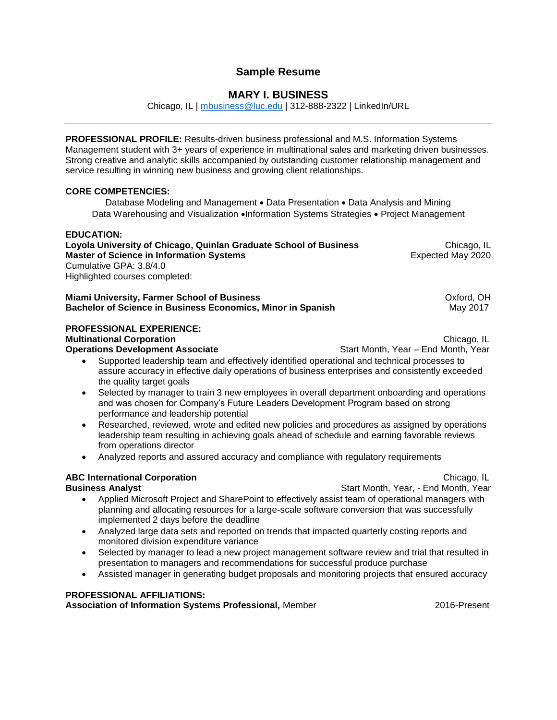## **Sample Resume**

## **MARY I. BUSINESS**

Chicago, IL | [mbusiness@luc.edu](mailto:mbusiness@luc.edu) | 312-888-2322 | LinkedIn/URL

**PROFESSIONAL PROFILE:** Results-driven business professional and M.S. Information Systems Management student with 3+ years of experience in multinational sales and marketing driven businesses. Strong creative and analytic skills accompanied by outstanding customer relationship management and service resulting in winning new business and growing client relationships.

#### **CORE COMPETENCIES:**

Database Modeling and Management • Data Presentation • Data Analysis and Mining Data Warehousing and Visualization •Information Systems Strategies • Project Management

#### **EDUCATION:**

| Loyola University of Chicago, Quinlan Graduate School of Business | Chicago, IL       |
|-------------------------------------------------------------------|-------------------|
| Master of Science in Information Svstems                          | Expected May 2020 |
| Cumulative GPA: 3.8/4.0                                           |                   |
| Highlighted courses completed:                                    |                   |

| <b>Miami University, Farmer School of Business</b>          | Oxford, OH |
|-------------------------------------------------------------|------------|
| Bachelor of Science in Business Economics, Minor in Spanish | Mav 2017   |

#### **PROFESSIONAL EXPERIENCE:**

**Multinational Corporation Chicago, IL Chicago, IL Chicago, IL Chicago, IL Chicago, IL** 

**Operations Development Associate Start Month, Year – End Month, Year – End Month, Year** 

- Supported leadership team and effectively identified operational and technical processes to assure accuracy in effective daily operations of business enterprises and consistently exceeded the quality target goals
- Selected by manager to train 3 new employees in overall department onboarding and operations and was chosen for Company's Future Leaders Development Program based on strong performance and leadership potential
- Researched, reviewed, wrote and edited new policies and procedures as assigned by operations leadership team resulting in achieving goals ahead of schedule and earning favorable reviews from operations director
- Analyzed reports and assured accuracy and compliance with regulatory requirements

## **ABC International Corporation <b>Chicago, IL ABC International Corporation**

- **Business Analyst**  Start Month, Year, End Month, Year, and Month, Year, and Month, Year, and Month, Year, and Month, Year, and Month, Year, and Month, Year, and Month, Year, and Month, Year, and Month, Year, and Month, Applied Microsoft Project and SharePoint to effectively assist team of operational managers with planning and allocating resources for a large-scale software conversion that was successfully implemented 2 days before the deadline
	- Analyzed large data sets and reported on trends that impacted quarterly costing reports and monitored division expenditure variance
	- Selected by manager to lead a new project management software review and trial that resulted in presentation to managers and recommendations for successful produce purchase
	- Assisted manager in generating budget proposals and monitoring projects that ensured accuracy

#### **PROFESSIONAL AFFILIATIONS:**

**Association of Information Systems Professional, Member 2016-1013 2016-Present**